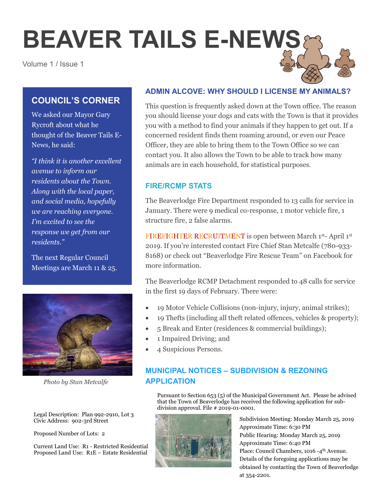# **BEAVER TAILS E-NEWS**

Volume 1 / Issue 1

# **COUNCIL'S CORNER**

We asked our Mayor Gary Rycroft about what he thought of the Beaver Tails E-News, he said:

*"I think it is another excellent avenue to inform our residents about the Town. Along with the local paper, and social media, hopefully we are reaching everyone. I'm excited to see the response we get from our residents."*

The next Regular Council Meetings are March 11 & 25.



*Photo by Stan Metcalfe*

Legal Description: Plan 992-2910, Lot 3 Civic Address: 902-3rd Street

Proposed Number of Lots: 2

Current Land Use: R1 - Restricted Residential Proposed Land Use: R1E – Estate Residential

## **ADMIN ALCOVE: WHY SHOULD I LICENSE MY ANIMALS?**

This question is frequently asked down at the Town office. The reason you should license your dogs and cats with the Town is that it provides you with a method to find your animals if they happen to get out. If a concerned resident finds them roaming around, or even our Peace Officer, they are able to bring them to the Town Office so we can contact you. It also allows the Town to be able to track how many animals are in each household, for statistical purposes.

### **FIRE/RCMP STATS**

The Beaverlodge Fire Department responded to 13 calls for service in January. There were 9 medical co-response, 1 motor vehicle fire, 1 structure fire, 2 false alarms.

FIREFIGHTER RECRUITMENT is open between March 1st- April 1st 2019. If you're interested contact Fire Chief Stan Metcalfe (780-933- 8168) or check out "Beaverlodge Fire Rescue Team" on Facebook for more information.

The Beaverlodge RCMP Detachment responded to 48 calls for service in the first 19 days of February. There were:

- 19 Motor Vehicle Collisions (non-injury, injury, animal strikes);
- 19 Thefts (including all theft related offences, vehicles & property);
- 5 Break and Enter (residences & commercial buildings);
- 1 Impaired Driving; and
- 4 Suspicious Persons.

# **MUNICIPAL NOTICES – SUBDIVISION & REZONING APPLICATION**

Pursuant to Section 653 (5) of the Municipal Government Act. Please be advised that the Town of Beaverlodge has received the following application for subdivision approval. File # 2019-01-0001.



Subdivision Meeting: Monday March 25, 2019 Approximate Time: 6:30 PM Public Hearing: Monday March 25, 2019 Approximate Time: 6:40 PM Place: Council Chambers, 1016 -4<sup>th</sup> Avenue. Details of the foregoing applications may be obtained by contacting the Town of Beaverlodge at 354-2201.